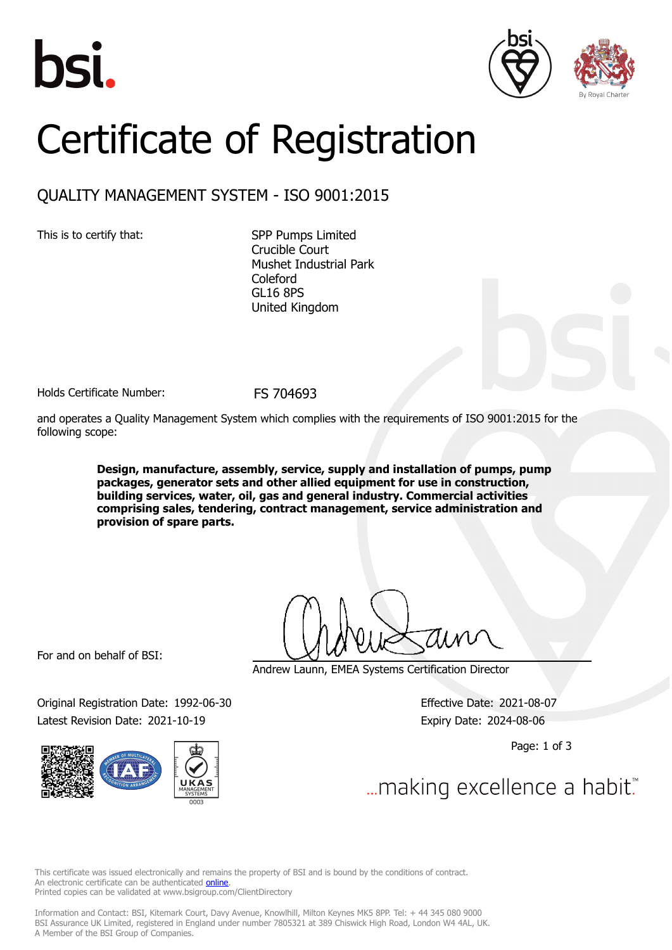





## Certificate of Registration

## QUALITY MANAGEMENT SYSTEM - ISO 9001:2015

This is to certify that: SPP Pumps Limited Crucible Court Mushet Industrial Park Coleford GL16 8PS United Kingdom

Holds Certificate Number: FS 704693

and operates a Quality Management System which complies with the requirements of ISO 9001:2015 for the following scope:

> **Design, manufacture, assembly, service, supply and installation of pumps, pump packages, generator sets and other allied equipment for use in construction, building services, water, oil, gas and general industry. Commercial activities comprising sales, tendering, contract management, service administration and provision of spare parts.**

For and on behalf of BSI:

Original Registration Date: 1992-06-30 Effective Date: 2021-08-07 Latest Revision Date: 2021-10-19 Expiry Date: 2024-08-06



Andrew Launn, EMEA Systems Certification Director

Page: 1 of 3

... making excellence a habit.

This certificate was issued electronically and remains the property of BSI and is bound by the conditions of contract. An electronic certificate can be authenticated **[online](https://pgplus.bsigroup.com/CertificateValidation/CertificateValidator.aspx?CertificateNumber=FS+704693&ReIssueDate=19%2f10%2f2021&Template=uk)**. Printed copies can be validated at www.bsigroup.com/ClientDirectory

Information and Contact: BSI, Kitemark Court, Davy Avenue, Knowlhill, Milton Keynes MK5 8PP. Tel: + 44 345 080 9000 BSI Assurance UK Limited, registered in England under number 7805321 at 389 Chiswick High Road, London W4 4AL, UK. A Member of the BSI Group of Companies.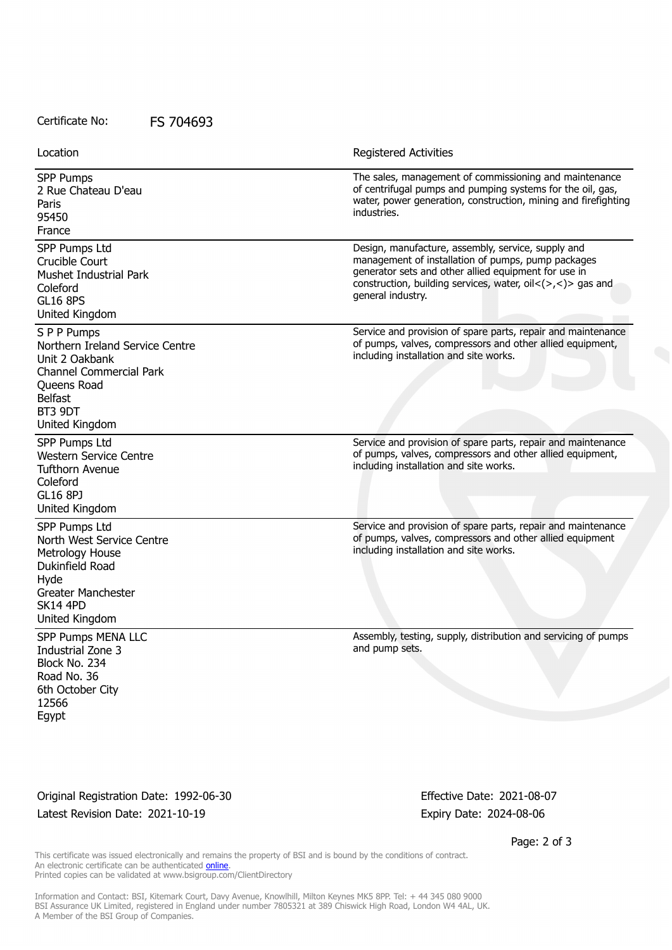Certificate No: FS 704693

| Location                                                                                                                                                         | <b>Registered Activities</b>                                                                                                                                                                                                                                                       |
|------------------------------------------------------------------------------------------------------------------------------------------------------------------|------------------------------------------------------------------------------------------------------------------------------------------------------------------------------------------------------------------------------------------------------------------------------------|
| <b>SPP Pumps</b><br>2 Rue Chateau D'eau<br>Paris<br>95450<br>France                                                                                              | The sales, management of commissioning and maintenance<br>of centrifugal pumps and pumping systems for the oil, gas,<br>water, power generation, construction, mining and firefighting<br>industries.                                                                              |
| SPP Pumps Ltd<br>Crucible Court<br><b>Mushet Industrial Park</b><br>Coleford<br><b>GL16 8PS</b><br>United Kingdom                                                | Design, manufacture, assembly, service, supply and<br>management of installation of pumps, pump packages<br>generator sets and other allied equipment for use in<br>construction, building services, water, oil $\langle \rangle$ , $\langle \rangle$ gas and<br>general industry. |
| S P P Pumps<br>Northern Ireland Service Centre<br>Unit 2 Oakbank<br><b>Channel Commercial Park</b><br>Queens Road<br><b>Belfast</b><br>BT3 9DT<br>United Kingdom | Service and provision of spare parts, repair and maintenance<br>of pumps, valves, compressors and other allied equipment,<br>including installation and site works.                                                                                                                |
| SPP Pumps Ltd<br><b>Western Service Centre</b><br><b>Tufthorn Avenue</b><br>Coleford<br><b>GL16 8PJ</b><br>United Kingdom                                        | Service and provision of spare parts, repair and maintenance<br>of pumps, valves, compressors and other allied equipment,<br>including installation and site works.                                                                                                                |
| SPP Pumps Ltd<br>North West Service Centre<br>Metrology House<br>Dukinfield Road<br>Hyde<br><b>Greater Manchester</b><br><b>SK14 4PD</b><br>United Kingdom       | Service and provision of spare parts, repair and maintenance<br>of pumps, valves, compressors and other allied equipment<br>including installation and site works.                                                                                                                 |
| SPP Pumps MENA LLC<br>Industrial Zone 3<br>Block No. 234<br>Road No. 36<br>6th October City<br>12566<br>Egypt                                                    | Assembly, testing, supply, distribution and servicing of pumps<br>and pump sets.                                                                                                                                                                                                   |

Original Registration Date: 1992-06-30 Effective Date: 2021-08-07 Latest Revision Date: 2021-10-19 Expiry Date: 2024-08-06

Page: 2 of 3

This certificate was issued electronically and remains the property of BSI and is bound by the conditions of contract. An electronic certificate can be authenticated **[online](https://pgplus.bsigroup.com/CertificateValidation/CertificateValidator.aspx?CertificateNumber=FS+704693&ReIssueDate=19%2f10%2f2021&Template=uk)**. Printed copies can be validated at www.bsigroup.com/ClientDirectory

Information and Contact: BSI, Kitemark Court, Davy Avenue, Knowlhill, Milton Keynes MK5 8PP. Tel: + 44 345 080 9000 BSI Assurance UK Limited, registered in England under number 7805321 at 389 Chiswick High Road, London W4 4AL, UK. A Member of the BSI Group of Companies.